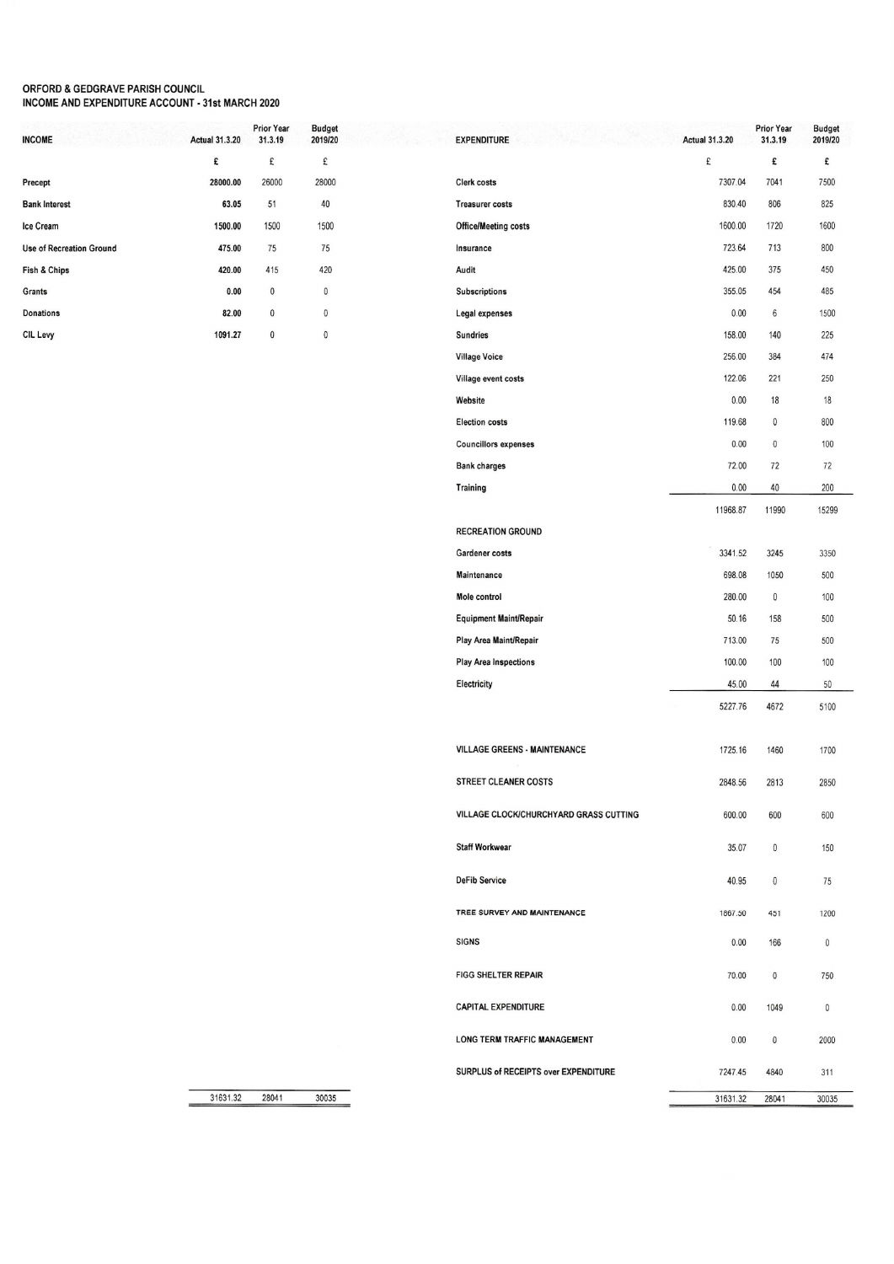## ORFORD & GEDGRAVE PARISH COUNCIL<br>INCOME AND EXPENDITURE ACCOUNT - 31st MARCH 2020

| <b>INCOME</b>                   | <b>Actual 31.3.20</b> | <b>Prior Year</b><br>31.3.19 | <b>Budget</b><br>2019/20 |
|---------------------------------|-----------------------|------------------------------|--------------------------|
|                                 | £                     | £                            | £                        |
| Precept                         | 28000.00              | 26000                        | 28000                    |
| <b>Bank Interest</b>            | 63.05                 | 51                           | 40                       |
| Ice Cream                       | 1500.00               | 1500                         | 1500                     |
| <b>Use of Recreation Ground</b> | 475.00                | 75                           | 75                       |
| Fish & Chips                    | 420.00                | 415                          | 420                      |
| Grants                          | 0.00                  | 0                            | 0                        |
| <b>Donations</b>                | 82.00                 | 0                            | 0                        |
| CIL Levy                        | 1091.27               | 0                            | 0                        |

| <b>EXPENDITURE</b>                     | <b>Actual 31.3.20</b> | Prior Year<br>31.3.19 | <b>Budget</b><br>2019/20 |
|----------------------------------------|-----------------------|-----------------------|--------------------------|
|                                        | £                     | £                     | £                        |
| Clerk costs                            | 7307.04               | 7041                  | 7500                     |
| <b>Treasurer costs</b>                 | 830.40                | 806                   | 825                      |
| <b>Office/Meeting costs</b>            | 1600.00               | 1720                  | 1600                     |
| Insurance                              | 723.64                | 713                   | 800                      |
| Audit                                  | 425.00                | 375                   | 450                      |
| <b>Subscriptions</b>                   | 355.05                | 454                   | 485                      |
| Legal expenses                         | 0.00                  | 6                     | 1500                     |
| <b>Sundries</b>                        | 158.00                | 140                   | 225                      |
| <b>Village Voice</b>                   | 256.00                | 384                   | 474                      |
| Village event costs                    | 122.06                | 221                   | 250                      |
| Website                                | 0.00                  | 18                    | 18                       |
| <b>Election costs</b>                  | 119.68                | 0                     | 800                      |
| <b>Councillors expenses</b>            | 0.00                  | 0                     | 100                      |
| <b>Bank charges</b>                    | 72.00                 | 72                    | 72                       |
| Training                               | 0.00                  | 40                    | 200                      |
|                                        | 11968.87              | 11990                 | 15299                    |
| <b>RECREATION GROUND</b>               |                       |                       |                          |
| Gardener costs                         | 3341.52               | 3245                  | 3350                     |
| Maintenance                            | 698.08                | 1050                  | 500                      |
| Mole control                           | 280.00                | 0                     | 100                      |
| Equipment Maint/Repair                 | 50.16                 | 158                   | 500                      |
| Play Area Maint/Repair                 | 713.00                | 75                    | 500                      |
| <b>Play Area Inspections</b>           | 100.00                | 100                   | 100                      |
| Electricity                            | 45.00                 | 44                    | 50                       |
|                                        | 5227.76               | 4672                  | 5100                     |
| <b>VILLAGE GREENS - MAINTENANCE</b>    | 1725.16               | 1460                  | 1700                     |
| <b>STREET CLEANER COSTS</b>            | 2848.56               | 2813                  | 2850                     |
| VILLAGE CLOCK/CHURCHYARD GRASS CUTTING | 600.00                | 600                   | 600                      |
| <b>Staff Workwear</b>                  | 35.07                 | 0                     | 150                      |
| <b>DeFib Service</b>                   | 40.95                 | 0                     | 75                       |
| TREE SURVEY AND MAINTENANCE            | 1867.50               | 451                   | 1200                     |
| <b>SIGNS</b>                           | 0.00                  | 166                   | 0                        |
| <b>FIGG SHELTER REPAIR</b>             | 70.00                 | 0                     | 750                      |
| <b>CAPITAL EXPENDITURE</b>             | 0.00                  | 1049                  | 0                        |
| LONG TERM TRAFFIC MANAGEMENT           | 0.00                  | 0                     | 2000                     |
| SURPLUS of RECEIPTS over EXPENDITURE   | 7247.45               | 4840                  | 311                      |
|                                        | 31631.32              | 28041                 | 30035                    |

31631.32 30035 28041